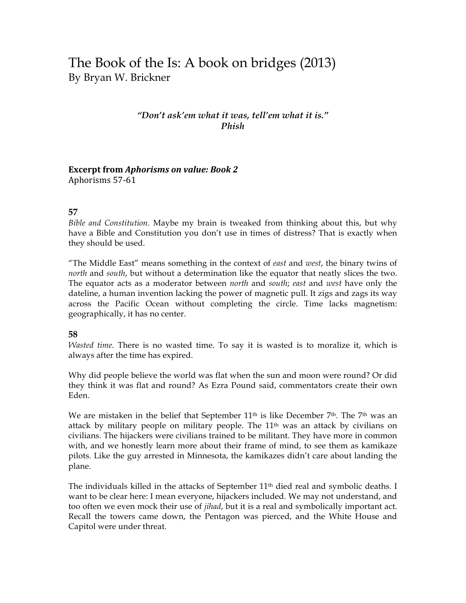# The Book of the Is: A book on bridges (2013) By Bryan W. Brickner

### *"Don't ask'em what it was, tell'em what it is." Phish*

## Excerpt from *Aphorisms* on value: Book 2

Aphorisms 57-61

#### **57**

*Bible and Constitution*. Maybe my brain is tweaked from thinking about this, but why have a Bible and Constitution you don't use in times of distress? That is exactly when they should be used.

"The Middle East" means something in the context of *east* and *west*, the binary twins of *north* and *south*, but without a determination like the equator that neatly slices the two. The equator acts as a moderator between *north* and *south*; *east* and *west* have only the dateline, a human invention lacking the power of magnetic pull. It zigs and zags its way across the Pacific Ocean without completing the circle. Time lacks magnetism: geographically, it has no center.

#### **58**

*Wasted time*. There is no wasted time. To say it is wasted is to moralize it, which is always after the time has expired.

Why did people believe the world was flat when the sun and moon were round? Or did they think it was flat and round? As Ezra Pound said, commentators create their own Eden.

We are mistaken in the belief that September  $11<sup>th</sup>$  is like December 7<sup>th</sup>. The 7<sup>th</sup> was an attack by military people on military people. The 11th was an attack by civilians on civilians. The hijackers were civilians trained to be militant. They have more in common with, and we honestly learn more about their frame of mind, to see them as kamikaze pilots. Like the guy arrested in Minnesota, the kamikazes didn't care about landing the plane.

The individuals killed in the attacks of September  $11<sup>th</sup>$  died real and symbolic deaths. I want to be clear here: I mean everyone, hijackers included. We may not understand, and too often we even mock their use of *jihad*, but it is a real and symbolically important act. Recall the towers came down, the Pentagon was pierced, and the White House and Capitol were under threat.